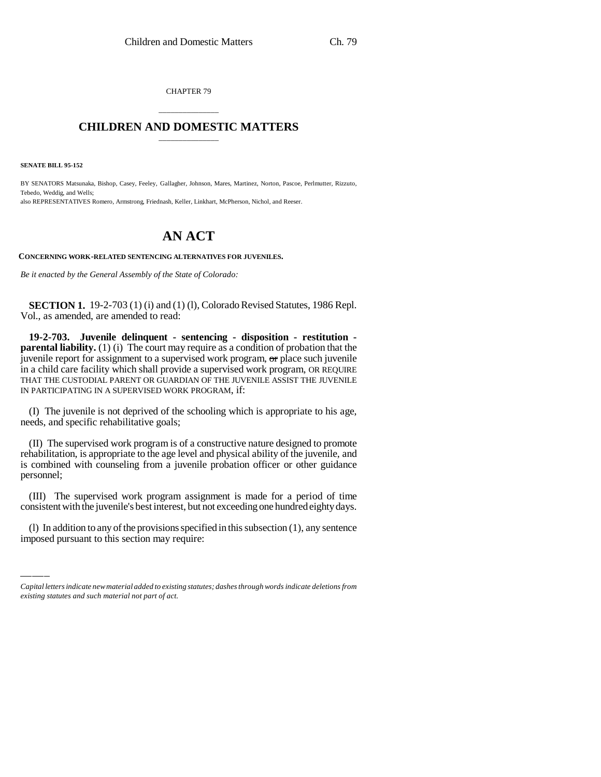CHAPTER 79

## \_\_\_\_\_\_\_\_\_\_\_\_\_\_\_ **CHILDREN AND DOMESTIC MATTERS** \_\_\_\_\_\_\_\_\_\_\_\_\_\_\_

**SENATE BILL 95-152**

BY SENATORS Matsunaka, Bishop, Casey, Feeley, Gallagher, Johnson, Mares, Martinez, Norton, Pascoe, Perlmutter, Rizzuto, Tebedo, Weddig, and Wells; also REPRESENTATIVES Romero, Armstrong, Friednash, Keller, Linkhart, McPherson, Nichol, and Reeser.

## **AN ACT**

**CONCERNING WORK-RELATED SENTENCING ALTERNATIVES FOR JUVENILES.**

*Be it enacted by the General Assembly of the State of Colorado:*

**SECTION 1.** 19-2-703 (1) (i) and (1) (1), Colorado Revised Statutes, 1986 Repl. Vol., as amended, are amended to read:

**19-2-703. Juvenile delinquent - sentencing - disposition - restitution parental liability.** (1) (i) The court may require as a condition of probation that the juvenile report for assignment to a supervised work program, or place such juvenile in a child care facility which shall provide a supervised work program, OR REQUIRE THAT THE CUSTODIAL PARENT OR GUARDIAN OF THE JUVENILE ASSIST THE JUVENILE IN PARTICIPATING IN A SUPERVISED WORK PROGRAM, if:

(I) The juvenile is not deprived of the schooling which is appropriate to his age, needs, and specific rehabilitative goals;

(II) The supervised work program is of a constructive nature designed to promote rehabilitation, is appropriate to the age level and physical ability of the juvenile, and is combined with counseling from a juvenile probation officer or other guidance personnel;

consistent with the juvenile's best interest, but not exceeding one hundred eighty days. (III) The supervised work program assignment is made for a period of time

(l) In addition to any of the provisions specified in this subsection (1), any sentence imposed pursuant to this section may require:

*Capital letters indicate new material added to existing statutes; dashes through words indicate deletions from existing statutes and such material not part of act.*